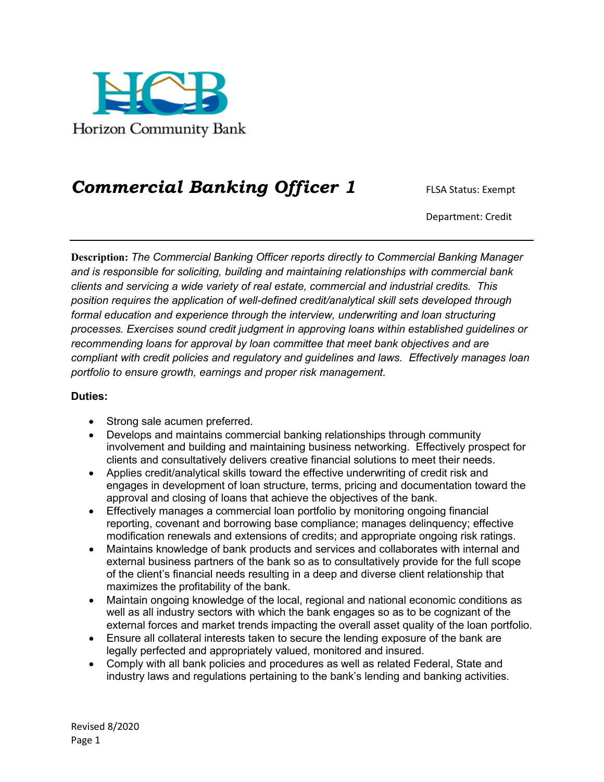

## *Commercial Banking Officer 1* FLSA Status: Exempt

Department: Credit

**Description:** *The Commercial Banking Officer reports directly to Commercial Banking Manager and is responsible for soliciting, building and maintaining relationships with commercial bank clients and servicing a wide variety of real estate, commercial and industrial credits. This position requires the application of well-defined credit/analytical skill sets developed through formal education and experience through the interview, underwriting and loan structuring processes. Exercises sound credit judgment in approving loans within established guidelines or recommending loans for approval by loan committee that meet bank objectives and are compliant with credit policies and regulatory and guidelines and laws. Effectively manages loan portfolio to ensure growth, earnings and proper risk management.*

## **Duties:**

- Strong sale acumen preferred.
- Develops and maintains commercial banking relationships through community involvement and building and maintaining business networking. Effectively prospect for clients and consultatively delivers creative financial solutions to meet their needs.
- Applies credit/analytical skills toward the effective underwriting of credit risk and engages in development of loan structure, terms, pricing and documentation toward the approval and closing of loans that achieve the objectives of the bank.
- Effectively manages a commercial loan portfolio by monitoring ongoing financial reporting, covenant and borrowing base compliance; manages delinquency; effective modification renewals and extensions of credits; and appropriate ongoing risk ratings.
- Maintains knowledge of bank products and services and collaborates with internal and external business partners of the bank so as to consultatively provide for the full scope of the client's financial needs resulting in a deep and diverse client relationship that maximizes the profitability of the bank.
- Maintain ongoing knowledge of the local, regional and national economic conditions as well as all industry sectors with which the bank engages so as to be cognizant of the external forces and market trends impacting the overall asset quality of the loan portfolio.
- Ensure all collateral interests taken to secure the lending exposure of the bank are legally perfected and appropriately valued, monitored and insured.
- Comply with all bank policies and procedures as well as related Federal, State and industry laws and regulations pertaining to the bank's lending and banking activities.